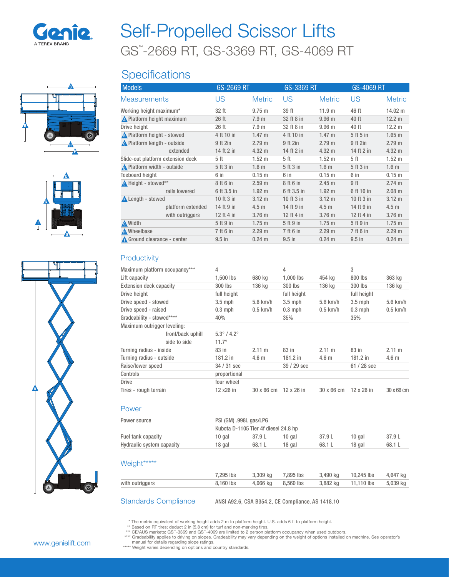

C

D

G

H

F

E

I

B

# GS™ -2669 RT, GS-3369 RT, GS-4069 RT Self-Propelled Scissor Lifts

## **Specifications**

| <b>Models</b>                     | GS-2669 RT  |                   | GS-3369 RT  |                   | GS-4069 RT |                   |
|-----------------------------------|-------------|-------------------|-------------|-------------------|------------|-------------------|
| <b>Measurements</b>               | US          | <b>Metric</b>     | US          | <b>Metric</b>     | US         | <b>Metric</b>     |
| Working height maximum*           | 32 ft       | $9.75 \text{ m}$  | 39 ft       | 11.9 m            | 46 ft      | $14.02 \text{ m}$ |
| ∧ Platform height maximum         | 26 ft       | 7.9 <sub>m</sub>  | 32 ft 8 in  | 9.96 <sub>m</sub> | 40 ft      | 12.2 <sub>m</sub> |
| Drive height                      | 26 ft       | 7.9 <sub>m</sub>  | 32 ft 8 in  | 9.96 <sub>m</sub> | 40 ft      | 12.2 <sub>m</sub> |
| A Platform height - stowed        | 4 ft 10 in  | $1.47 \text{ m}$  | 4 ft 10 in  | $1.47 \text{ m}$  | 5 ft 5 in  | $1.65$ m          |
| A Platform length - outside       | 9 ft 2in    | 2.79 m            | 9 ft 2in    | 2.79 m            | 9 ft 2in   | 2.79 m            |
| extended                          | 14 ft 2 in  | 4.32 m            | 14 ft 2 in  | $4.32 \text{ m}$  | 14 ft 2 in | 4.32 m            |
| Slide-out platform extension deck | 5 ft        | 1.52 <sub>m</sub> | 5 ft        | $1.52 \text{ m}$  | 5 ft       | 1.52 <sub>m</sub> |
| Platform width - outside          | 5 ft 3 in   | 1.6 <sub>m</sub>  | 5 ft 3 in   | 1.6 <sub>m</sub>  | 5 ft 3 in  | 1.6 <sub>m</sub>  |
| <b>Toeboard height</b>            | 6 in        | 0.15 m            | 6 in        | 0.15 <sub>m</sub> | 6 in       | 0.15 <sub>m</sub> |
| A Height - stowed**               | 8 ft 6 in   | 2.59 <sub>m</sub> | 8 ft 6 in   | 2.45 m            | 9 ft       | 2.74 m            |
| rails lowered                     | 6 ft 3.5 in | 1.92 <sub>m</sub> | 6 ft 3.5 in | 1.92 <sub>m</sub> | 6 ft 10 in | 2.08 m            |
| <b>A</b> Length - stowed          | 10 ft 3 in  | $3.12 \text{ m}$  | 10 ft 3 in  | $3.12 \text{ m}$  | 10 ft 3 in | $3.12 \text{ m}$  |
| platform extended                 | 14 ft 9 in  | 4.5 <sub>m</sub>  | 14 ft 9 in  | 4.5 <sub>m</sub>  | 14 ft 9 in | 4.5 <sub>m</sub>  |
| with outriggers                   | 12 ft 4 in  | 3.76 m            | 12 ft 4 in  | 3.76 <sub>m</sub> | 12 ft 4 in | 3.76 m            |
| A Width                           | 5 ft 9 in   | 1.75 m            | 5 ft 9 in   | 1.75 m            | 5 ft 9 in  | 1.75 m            |
| Mheelbase                         | 7 ft 6 in   | 2.29 m            | 7 ft 6 in   | 2.29 m            | 7 ft 6 in  | 2.29 m            |
| Ground clearance - center         | $9.5$ in    | $0.24 \text{ m}$  | $9.5$ in    | $0.24 \text{ m}$  | $9.5$ in   | $0.24 \text{ m}$  |

### **Productivity**

|                             | Maximum platform occupancy*** | 4                              |                  | 4                 |                  | 3                 |                  |
|-----------------------------|-------------------------------|--------------------------------|------------------|-------------------|------------------|-------------------|------------------|
| Lift capacity               |                               | 1,500 lbs                      | 680 kg           | 1,000 lbs         | 454 kg           | 800 lbs           | 363 kg           |
| Extension deck capacity     |                               | 300 lbs                        | 136 kg           | 300 lbs           | 136 kg           | 300 lbs           | 136 kg           |
| Drive height                |                               | full height                    |                  | full height       |                  | full height       |                  |
| Drive speed - stowed        |                               | $3.5$ mph                      | $5.6$ km/h       | $3.5$ mph         | $5.6$ km/h       | $3.5$ mph         | $5.6$ km/h       |
| Drive speed - raised        |                               | $0.3$ mph                      | $0.5$ km/h       | $0.3$ mph         | $0.5$ km/h       | $0.3$ mph         | $0.5$ km/h       |
| Gradeability - stowed****   |                               | 40%                            |                  | 35%               |                  | 35%               |                  |
| Maximum outrigger leveling: |                               |                                |                  |                   |                  |                   |                  |
|                             | front/back uphill             | $5.3^{\circ}$ / 4.2 $^{\circ}$ |                  |                   |                  |                   |                  |
|                             | side to side                  | $11.7^\circ$                   |                  |                   |                  |                   |                  |
| Turning radius - inside     |                               | 83 in                          | 2.11 m           | 83 in             | 2.11 m           | 83 in             | 2.11 m           |
| Turning radius - outside    |                               | $181.2$ in                     | 4.6 <sub>m</sub> | 181.2 in          | 4.6 <sub>m</sub> | $181.2$ in        | 4.6 <sub>m</sub> |
| Raise/lower speed           |                               | 34 / 31 sec                    |                  | 39 / 29 sec       |                  | 61 / 28 sec       |                  |
| Controls                    |                               | proportional                   |                  |                   |                  |                   |                  |
| <b>Drive</b>                |                               | four wheel                     |                  |                   |                  |                   |                  |
| Tires - rough terrain       |                               | 12 x26 in                      | 30 x 66 cm       | $12 \times 26$ in | 30 x 66 cm       | $12 \times 26$ in | 30 x 66 cm       |

#### Power

| Power source              |        | PSI (GM) .998L gas/LPG<br>Kubota D-1105 Tier 4f diesel 24.8 hp |        |        |        |        |  |  |
|---------------------------|--------|----------------------------------------------------------------|--------|--------|--------|--------|--|--|
| Fuel tank capacity        | 10 gal | 37.9 L                                                         | 10 gal | 37.9 L | 10 gal | 37.9 L |  |  |
| Hydraulic system capacity | 18 gal | 68.1 L                                                         | 18 gal | 68.1L  | 18 gal | 68.1 L |  |  |
|                           |        |                                                                |        |        |        |        |  |  |

#### Weight\*\*\*\*\*

|                 | 7.295 lbs | 3.309 kg 7.895 lbs | 3.490 ka | 10.245 lbs | 4.647 ka |
|-----------------|-----------|--------------------|----------|------------|----------|
| with outriggers | 8.160 lbs | 4.066 kg 8.560 lbs | 3.882 ka | 11.110 lbs | 5,039 kg |
|                 |           |                    |          |            |          |

Standards Compliance ANSI A92.6, CSA B354.2, CE Compliance, AS 1418.10

\* The metric equivalent of working height adds 2 m to platform height. U.S. adds 6 ft to platform height.<br>\*\* Based on RT tires; deduct 2 in (5.8 cm) for turf and non-marking tires.<br>\*\*\* CEAUS markets: GS"-3369 and GS"-4069

\*\*\*\*\* Weight varies depending on options and country standards.

A